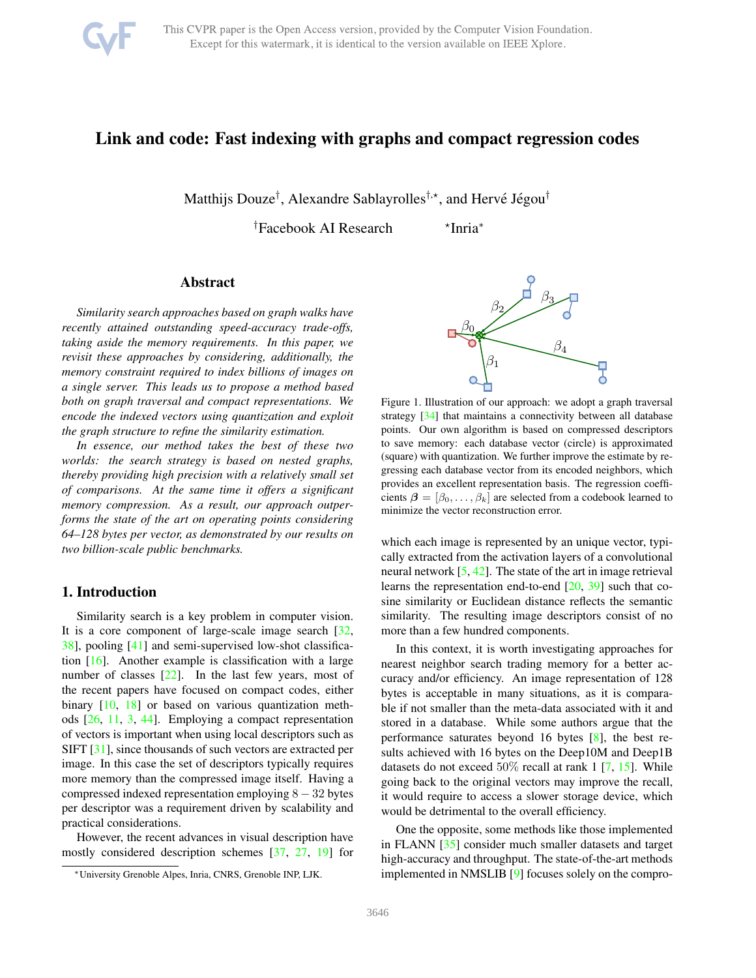

# Link and code: Fast indexing with graphs and compact regression codes

Matthijs Douze<sup>†</sup>, Alexandre Sablayrolles<sup>†,\*</sup>, and Hervé Jégou<sup>†</sup>

 $\dagger$ Facebook AI Research

Inria<sup>∗</sup>

### Abstract

*Similarity search approaches based on graph walks have recently attained outstanding speed-accuracy trade-offs, taking aside the memory requirements. In this paper, we revisit these approaches by considering, additionally, the memory constraint required to index billions of images on a single server. This leads us to propose a method based both on graph traversal and compact representations. We encode the indexed vectors using quantization and exploit the graph structure to refine the similarity estimation.*

*In essence, our method takes the best of these two worlds: the search strategy is based on nested graphs, thereby providing high precision with a relatively small set of comparisons. At the same time it offers a significant memory compression. As a result, our approach outperforms the state of the art on operating points considering 64–128 bytes per vector, as demonstrated by our results on two billion-scale public benchmarks.*

## 1. Introduction

Similarity search is a key problem in computer vision. It is a core component of large-scale image search [\[32,](#page-8-0) [38\]](#page-8-1), pooling [\[41\]](#page-8-2) and semi-supervised low-shot classification [\[16\]](#page-8-3). Another example is classification with a large number of classes [\[22\]](#page-8-4). In the last few years, most of the recent papers have focused on compact codes, either binary  $[10, 18]$  $[10, 18]$  $[10, 18]$  or based on various quantization methods [\[26,](#page-8-7) [11,](#page-8-8) [3,](#page-8-9) [44\]](#page-8-10). Employing a compact representation of vectors is important when using local descriptors such as SIFT [\[31\]](#page-8-11), since thousands of such vectors are extracted per image. In this case the set of descriptors typically requires more memory than the compressed image itself. Having a compressed indexed representation employing  $8 - 32$  bytes per descriptor was a requirement driven by scalability and practical considerations.

However, the recent advances in visual description have mostly considered description schemes [\[37,](#page-8-12) [27,](#page-8-13) [19\]](#page-8-14) for



Figure 1. Illustration of our approach: we adopt a graph traversal strategy [\[34\]](#page-8-15) that maintains a connectivity between all database points. Our own algorithm is based on compressed descriptors to save memory: each database vector (circle) is approximated (square) with quantization. We further improve the estimate by regressing each database vector from its encoded neighbors, which provides an excellent representation basis. The regression coefficients  $\boldsymbol{\beta} = [\beta_0, \dots, \beta_k]$  are selected from a codebook learned to minimize the vector reconstruction error.

which each image is represented by an unique vector, typically extracted from the activation layers of a convolutional neural network [\[5,](#page-8-16) [42\]](#page-8-17). The state of the art in image retrieval learns the representation end-to-end [\[20,](#page-8-18) [39\]](#page-8-19) such that cosine similarity or Euclidean distance reflects the semantic similarity. The resulting image descriptors consist of no more than a few hundred components.

In this context, it is worth investigating approaches for nearest neighbor search trading memory for a better accuracy and/or efficiency. An image representation of 128 bytes is acceptable in many situations, as it is comparable if not smaller than the meta-data associated with it and stored in a database. While some authors argue that the performance saturates beyond 16 bytes [\[8\]](#page-8-20), the best results achieved with 16 bytes on the Deep10M and Deep1B datasets do not exceed  $50\%$  recall at rank 1 [\[7,](#page-8-21) [15\]](#page-8-22). While going back to the original vectors may improve the recall, it would require to access a slower storage device, which would be detrimental to the overall efficiency.

One the opposite, some methods like those implemented in FLANN [\[35\]](#page-8-23) consider much smaller datasets and target high-accuracy and throughput. The state-of-the-art methods implemented in NMSLIB [\[9\]](#page-8-24) focuses solely on the compro-

<sup>∗</sup>University Grenoble Alpes, Inria, CNRS, Grenoble INP, LJK.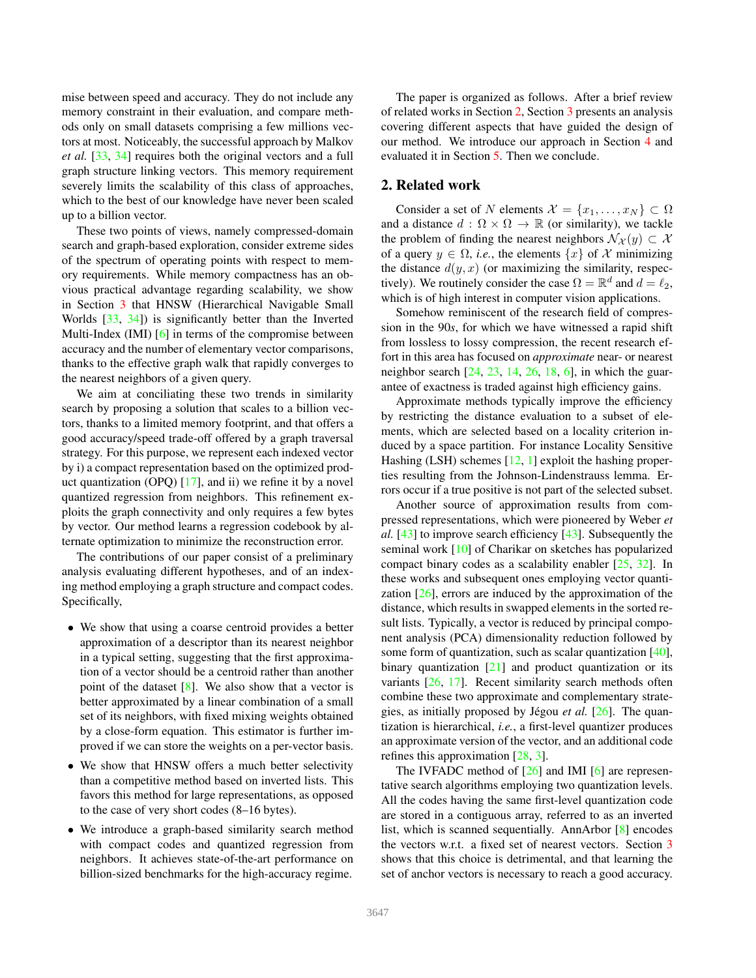mise between speed and accuracy. They do not include any memory constraint in their evaluation, and compare methods only on small datasets comprising a few millions vectors at most. Noticeably, the successful approach by Malkov *et al.* [\[33,](#page-8-25) [34\]](#page-8-15) requires both the original vectors and a full graph structure linking vectors. This memory requirement severely limits the scalability of this class of approaches, which to the best of our knowledge have never been scaled up to a billion vector.

These two points of views, namely compressed-domain search and graph-based exploration, consider extreme sides of the spectrum of operating points with respect to memory requirements. While memory compactness has an obvious practical advantage regarding scalability, we show in Section [3](#page-2-0) that HNSW (Hierarchical Navigable Small Worlds [\[33,](#page-8-25) [34\]](#page-8-15)) is significantly better than the Inverted Multi-Index (IMI) [\[6\]](#page-8-26) in terms of the compromise between accuracy and the number of elementary vector comparisons, thanks to the effective graph walk that rapidly converges to the nearest neighbors of a given query.

We aim at conciliating these two trends in similarity search by proposing a solution that scales to a billion vectors, thanks to a limited memory footprint, and that offers a good accuracy/speed trade-off offered by a graph traversal strategy. For this purpose, we represent each indexed vector by i) a compact representation based on the optimized product quantization (OPQ)  $[17]$ , and ii) we refine it by a novel quantized regression from neighbors. This refinement exploits the graph connectivity and only requires a few bytes by vector. Our method learns a regression codebook by alternate optimization to minimize the reconstruction error.

The contributions of our paper consist of a preliminary analysis evaluating different hypotheses, and of an indexing method employing a graph structure and compact codes. Specifically,

- We show that using a coarse centroid provides a better approximation of a descriptor than its nearest neighbor in a typical setting, suggesting that the first approximation of a vector should be a centroid rather than another point of the dataset  $[8]$ . We also show that a vector is better approximated by a linear combination of a small set of its neighbors, with fixed mixing weights obtained by a close-form equation. This estimator is further improved if we can store the weights on a per-vector basis.
- We show that HNSW offers a much better selectivity than a competitive method based on inverted lists. This favors this method for large representations, as opposed to the case of very short codes (8–16 bytes).
- We introduce a graph-based similarity search method with compact codes and quantized regression from neighbors. It achieves state-of-the-art performance on billion-sized benchmarks for the high-accuracy regime.

The paper is organized as follows. After a brief review of related works in Section [2,](#page-1-0) Section [3](#page-2-0) presents an analysis covering different aspects that have guided the design of our method. We introduce our approach in Section [4](#page-4-0) and evaluated it in Section [5.](#page-6-0) Then we conclude.

#### <span id="page-1-0"></span>2. Related work

Consider a set of N elements  $\mathcal{X} = \{x_1, \ldots, x_N\} \subset \Omega$ and a distance  $d : \Omega \times \Omega \to \mathbb{R}$  (or similarity), we tackle the problem of finding the nearest neighbors  $\mathcal{N}_{\mathcal{X}}(y) \subset \mathcal{X}$ of a query  $y \in \Omega$ , *i.e.*, the elements  $\{x\}$  of X minimizing the distance  $d(y, x)$  (or maximizing the similarity, respectively). We routinely consider the case  $\Omega = \mathbb{R}^d$  and  $d = \ell_2$ , which is of high interest in computer vision applications.

Somehow reminiscent of the research field of compression in the 90*s*, for which we have witnessed a rapid shift from lossless to lossy compression, the recent research effort in this area has focused on *approximate* near- or nearest neighbor search [\[24,](#page-8-28) [23,](#page-8-29) [14,](#page-8-30) [26,](#page-8-7) [18,](#page-8-6) [6\]](#page-8-26), in which the guarantee of exactness is traded against high efficiency gains.

Approximate methods typically improve the efficiency by restricting the distance evaluation to a subset of elements, which are selected based on a locality criterion induced by a space partition. For instance Locality Sensitive Hashing (LSH) schemes  $[12, 1]$  $[12, 1]$  exploit the hashing properties resulting from the Johnson-Lindenstrauss lemma. Errors occur if a true positive is not part of the selected subset.

Another source of approximation results from compressed representations, which were pioneered by Weber *et al.* [\[43\]](#page-8-33) to improve search efficiency [\[43\]](#page-8-33). Subsequently the seminal work [\[10\]](#page-8-5) of Charikar on sketches has popularized compact binary codes as a scalability enabler [\[25,](#page-8-34) [32\]](#page-8-0). In these works and subsequent ones employing vector quantization [\[26\]](#page-8-7), errors are induced by the approximation of the distance, which results in swapped elements in the sorted result lists. Typically, a vector is reduced by principal component analysis (PCA) dimensionality reduction followed by some form of quantization, such as scalar quantization [\[40\]](#page-8-35), binary quantization  $\lceil 21 \rceil$  and product quantization or its variants [\[26,](#page-8-7) [17\]](#page-8-27). Recent similarity search methods often combine these two approximate and complementary strate-gies, as initially proposed by Jégou et al. [\[26\]](#page-8-7). The quantization is hierarchical, *i.e.*, a first-level quantizer produces an approximate version of the vector, and an additional code refines this approximation [\[28,](#page-8-37) [3\]](#page-8-9).

The IVFADC method of [\[26\]](#page-8-7) and IMI [\[6\]](#page-8-26) are representative search algorithms employing two quantization levels. All the codes having the same first-level quantization code are stored in a contiguous array, referred to as an inverted list, which is scanned sequentially. AnnArbor [\[8\]](#page-8-20) encodes the vectors w.r.t. a fixed set of nearest vectors. Section [3](#page-2-0) shows that this choice is detrimental, and that learning the set of anchor vectors is necessary to reach a good accuracy.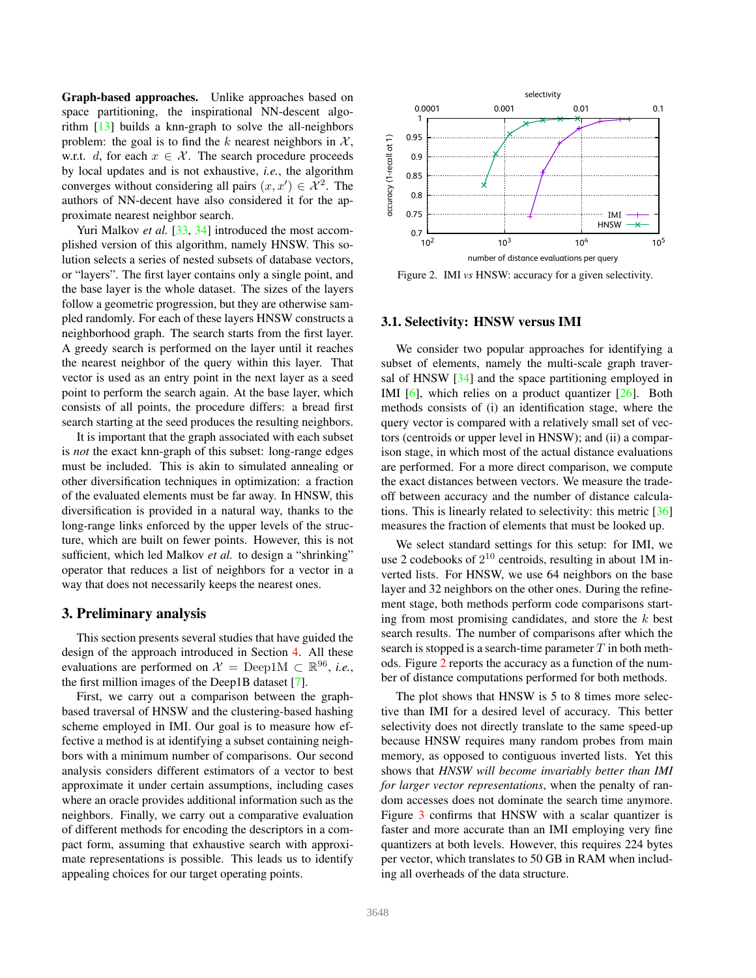Graph-based approaches. Unlike approaches based on space partitioning, the inspirational NN-descent algorithm [\[13\]](#page-8-38) builds a knn-graph to solve the all-neighbors problem: the goal is to find the k nearest neighbors in  $\mathcal{X}$ , w.r.t. d, for each  $x \in \mathcal{X}$ . The search procedure proceeds by local updates and is not exhaustive, *i.e.*, the algorithm converges without considering all pairs  $(x, x') \in \mathcal{X}^2$ . The authors of NN-decent have also considered it for the approximate nearest neighbor search.

Yuri Malkov *et al.* [\[33,](#page-8-25) [34\]](#page-8-15) introduced the most accomplished version of this algorithm, namely HNSW. This solution selects a series of nested subsets of database vectors, or "layers". The first layer contains only a single point, and the base layer is the whole dataset. The sizes of the layers follow a geometric progression, but they are otherwise sampled randomly. For each of these layers HNSW constructs a neighborhood graph. The search starts from the first layer. A greedy search is performed on the layer until it reaches the nearest neighbor of the query within this layer. That vector is used as an entry point in the next layer as a seed point to perform the search again. At the base layer, which consists of all points, the procedure differs: a bread first search starting at the seed produces the resulting neighbors.

It is important that the graph associated with each subset is *not* the exact knn-graph of this subset: long-range edges must be included. This is akin to simulated annealing or other diversification techniques in optimization: a fraction of the evaluated elements must be far away. In HNSW, this diversification is provided in a natural way, thanks to the long-range links enforced by the upper levels of the structure, which are built on fewer points. However, this is not sufficient, which led Malkov et al. to design a "shrinking" operator that reduces a list of neighbors for a vector in a way that does not necessarily keeps the nearest ones.

### <span id="page-2-0"></span>3. Preliminary analysis

This section presents several studies that have guided the design of the approach introduced in Section [4.](#page-4-0) All these evaluations are performed on  $\mathcal{X} = \text{Deep1M} \subset \mathbb{R}^{96}$ , *i.e.*, the first million images of the Deep1B dataset [\[7\]](#page-8-21).

First, we carry out a comparison between the graphbased traversal of HNSW and the clustering-based hashing scheme employed in IMI. Our goal is to measure how effective a method is at identifying a subset containing neighbors with a minimum number of comparisons. Our second analysis considers different estimators of a vector to best approximate it under certain assumptions, including cases where an oracle provides additional information such as the neighbors. Finally, we carry out a comparative evaluation of different methods for encoding the descriptors in a compact form, assuming that exhaustive search with approximate representations is possible. This leads us to identify appealing choices for our target operating points.



<span id="page-2-1"></span>Figure 2. IMI *vs* HNSW: accuracy for a given selectivity.

#### 3.1. Selectivity: HNSW versus IMI

We consider two popular approaches for identifying a subset of elements, namely the multi-scale graph traversal of HNSW [\[34\]](#page-8-15) and the space partitioning employed in IMI [\[6\]](#page-8-26), which relies on a product quantizer [\[26\]](#page-8-7). Both methods consists of (i) an identification stage, where the query vector is compared with a relatively small set of vectors (centroids or upper level in HNSW); and (ii) a comparison stage, in which most of the actual distance evaluations are performed. For a more direct comparison, we compute the exact distances between vectors. We measure the tradeoff between accuracy and the number of distance calculations. This is linearly related to selectivity: this metric [\[36\]](#page-8-39) measures the fraction of elements that must be looked up.

We select standard settings for this setup: for IMI, we use 2 codebooks of  $2^{10}$  centroids, resulting in about 1M inverted lists. For HNSW, we use 64 neighbors on the base layer and 32 neighbors on the other ones. During the refinement stage, both methods perform code comparisons starting from most promising candidates, and store the  $k$  best search results. The number of comparisons after which the search is stopped is a search-time parameter  $T$  in both methods. Figure [2](#page-2-1) reports the accuracy as a function of the number of distance computations performed for both methods.

The plot shows that HNSW is 5 to 8 times more selective than IMI for a desired level of accuracy. This better selectivity does not directly translate to the same speed-up because HNSW requires many random probes from main memory, as opposed to contiguous inverted lists. Yet this shows that *HNSW will become invariably better than IMI for larger vector representations*, when the penalty of random accesses does not dominate the search time anymore. Figure [3](#page-3-0) confirms that HNSW with a scalar quantizer is faster and more accurate than an IMI employing very fine quantizers at both levels. However, this requires 224 bytes per vector, which translates to 50 GB in RAM when including all overheads of the data structure.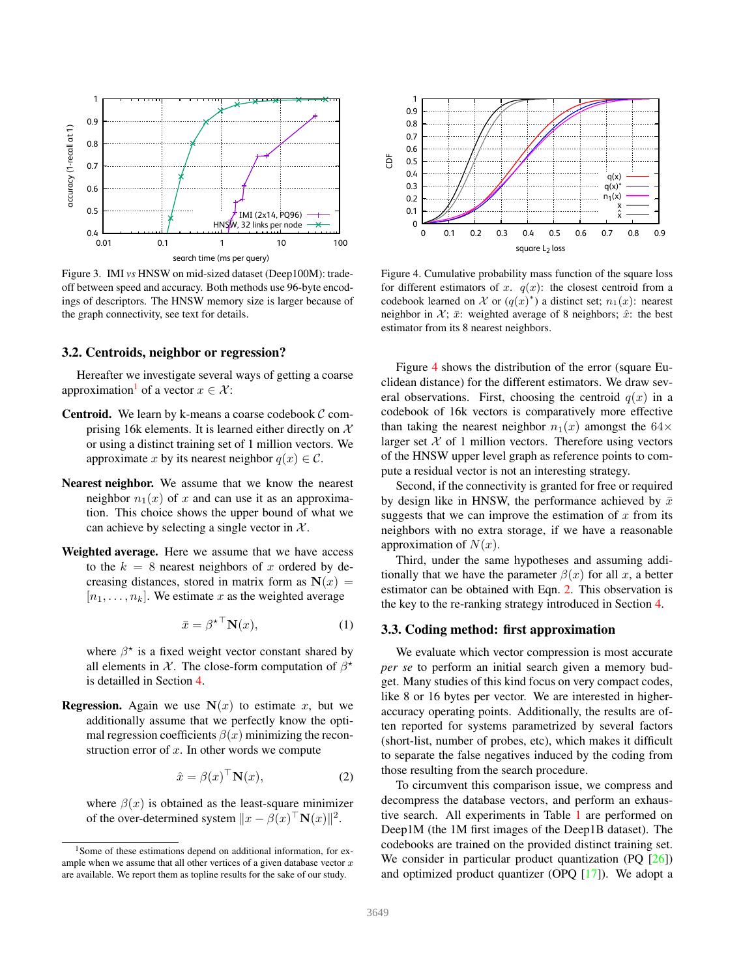

<span id="page-3-0"></span>Figure 3. IMI *vs* HNSW on mid-sized dataset (Deep100M): tradeoff between speed and accuracy. Both methods use 96-byte encodings of descriptors. The HNSW memory size is larger because of the graph connectivity, see text for details.

### <span id="page-3-4"></span>3.2. Centroids, neighbor or regression?

Hereafter we investigate several ways of getting a coarse approximation<sup>[1](#page-3-1)</sup> of a vector  $x \in \mathcal{X}$ :

- **Centroid.** We learn by k-means a coarse codebook  $C$  comprising 16k elements. It is learned either directly on  $X$ or using a distinct training set of 1 million vectors. We approximate x by its nearest neighbor  $q(x) \in \mathcal{C}$ .
- Nearest neighbor. We assume that we know the nearest neighbor  $n_1(x)$  of x and can use it as an approximation. This choice shows the upper bound of what we can achieve by selecting a single vector in  $X$ .
- Weighted average. Here we assume that we have access to the  $k = 8$  nearest neighbors of x ordered by decreasing distances, stored in matrix form as  $N(x) =$  $[n_1, \ldots, n_k]$ . We estimate x as the weighted average

$$
\bar{x} = \beta^{\star \top} \mathbf{N}(x),\tag{1}
$$

where  $\beta^*$  is a fixed weight vector constant shared by all elements in  $X$ . The close-form computation of  $\beta^*$ is detailled in Section [4.](#page-4-0)

**Regression.** Again we use  $N(x)$  to estimate x, but we additionally assume that we perfectly know the optimal regression coefficients  $\beta(x)$  minimizing the reconstruction error of  $x$ . In other words we compute

<span id="page-3-3"></span>
$$
\hat{x} = \beta(x)^\top \mathbf{N}(x),\tag{2}
$$

where  $\beta(x)$  is obtained as the least-square minimizer of the over-determined system  $||x - \beta(x)|^{\top} \mathbf{N}(x)||^2$ .



<span id="page-3-2"></span>Figure 4. Cumulative probability mass function of the square loss for different estimators of x.  $q(x)$ : the closest centroid from a codebook learned on X or  $(q(x)^*)$  a distinct set;  $n_1(x)$ : nearest neighbor in  $\mathcal{X}$ ;  $\bar{x}$ : weighted average of 8 neighbors;  $\hat{x}$ : the best estimator from its 8 nearest neighbors.

Figure [4](#page-3-2) shows the distribution of the error (square Euclidean distance) for the different estimators. We draw several observations. First, choosing the centroid  $q(x)$  in a codebook of 16k vectors is comparatively more effective than taking the nearest neighbor  $n_1(x)$  amongst the 64 $\times$ larger set  $X$  of 1 million vectors. Therefore using vectors of the HNSW upper level graph as reference points to compute a residual vector is not an interesting strategy.

Second, if the connectivity is granted for free or required by design like in HNSW, the performance achieved by  $\bar{x}$ suggests that we can improve the estimation of  $x$  from its neighbors with no extra storage, if we have a reasonable approximation of  $N(x)$ .

Third, under the same hypotheses and assuming additionally that we have the parameter  $\beta(x)$  for all x, a better estimator can be obtained with Eqn. [2.](#page-3-3) This observation is the key to the re-ranking strategy introduced in Section [4.](#page-4-0)

#### 3.3. Coding method: first approximation

We evaluate which vector compression is most accurate *per se* to perform an initial search given a memory budget. Many studies of this kind focus on very compact codes, like 8 or 16 bytes per vector. We are interested in higheraccuracy operating points. Additionally, the results are often reported for systems parametrized by several factors (short-list, number of probes, etc), which makes it difficult to separate the false negatives induced by the coding from those resulting from the search procedure.

To circumvent this comparison issue, we compress and decompress the database vectors, and perform an exhaustive search. All experiments in Table [1](#page-4-1) are performed on Deep1M (the 1M first images of the Deep1B dataset). The codebooks are trained on the provided distinct training set. We consider in particular product quantization (PQ [\[26\]](#page-8-7)) and optimized product quantizer (OPQ [\[17\]](#page-8-27)). We adopt a

<span id="page-3-1"></span><sup>&</sup>lt;sup>1</sup>Some of these estimations depend on additional information, for example when we assume that all other vertices of a given database vector  $x$ are available. We report them as topline results for the sake of our study.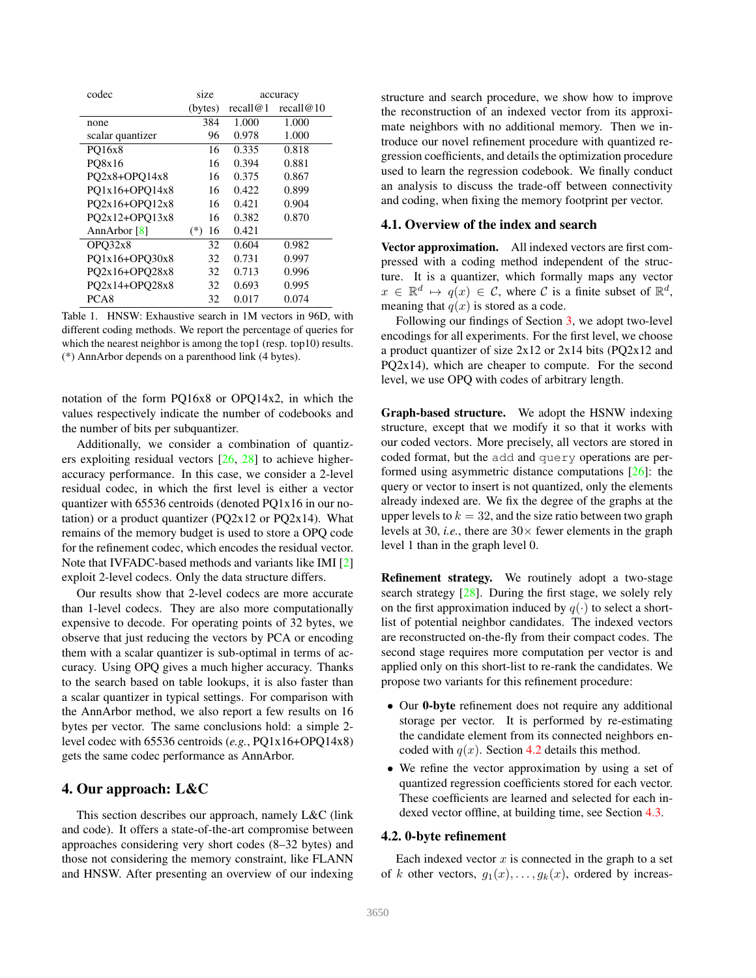| codec            | size        | accuracy    |              |  |
|------------------|-------------|-------------|--------------|--|
|                  | (bytes)     | recall $@1$ | recall $@10$ |  |
| none             | 384         | 1.000       | 1.000        |  |
| scalar quantizer | 96          | 0.978       | 1.000        |  |
| PO16x8           | 16          | 0.335       | 0.818        |  |
| PO8x16           | 16          | 0.394       | 0.881        |  |
| PQ2x8+OPQ14x8    | 16          | 0.375       | 0.867        |  |
| PO1x16+OPO14x8   | 16          | 0.422       | 0.899        |  |
| PO2x16+OPO12x8   | 16          | 0.421       | 0.904        |  |
| PO2x12+OPO13x8   | 16          | 0.382       | 0.870        |  |
| AnnArbor $[8]$   | 16<br>$(*)$ | 0.421       |              |  |
| OPO32x8          | 32          | 0.604       | 0.982        |  |
| PO1x16+OPO30x8   | 32          | 0.731       | 0.997        |  |
| PO2x16+OPO28x8   | 32          | 0.713       | 0.996        |  |
| PO2x14+OPO28x8   | 32          | 0.693       | 0.995        |  |
| PCA <sub>8</sub> | 32          | 0.017       | 0.074        |  |

<span id="page-4-1"></span>Table 1. HNSW: Exhaustive search in 1M vectors in 96D, with different coding methods. We report the percentage of queries for which the nearest neighbor is among the top1 (resp. top10) results. (\*) AnnArbor depends on a parenthood link (4 bytes).

notation of the form PQ16x8 or OPQ14x2, in which the values respectively indicate the number of codebooks and the number of bits per subquantizer.

Additionally, we consider a combination of quantizers exploiting residual vectors  $[26, 28]$  $[26, 28]$  to achieve higheraccuracy performance. In this case, we consider a 2-level residual codec, in which the first level is either a vector quantizer with 65536 centroids (denoted PQ1x16 in our notation) or a product quantizer ( $PQ2x12$  or  $PQ2x14$ ). What remains of the memory budget is used to store a OPQ code for the refinement codec, which encodes the residual vector. Note that IVFADC-based methods and variants like IMI [\[2\]](#page-8-40) exploit 2-level codecs. Only the data structure differs.

Our results show that 2-level codecs are more accurate than 1-level codecs. They are also more computationally expensive to decode. For operating points of 32 bytes, we observe that just reducing the vectors by PCA or encoding them with a scalar quantizer is sub-optimal in terms of accuracy. Using OPQ gives a much higher accuracy. Thanks to the search based on table lookups, it is also faster than a scalar quantizer in typical settings. For comparison with the AnnArbor method, we also report a few results on 16 bytes per vector. The same conclusions hold: a simple 2 level codec with 65536 centroids (*e.g.*, PQ1x16+OPQ14x8) gets the same codec performance as AnnArbor.

### <span id="page-4-0"></span>4. Our approach: L&C

This section describes our approach, namely L&C (link and code). It offers a state-of-the-art compromise between approaches considering very short codes (8–32 bytes) and those not considering the memory constraint, like FLANN and HNSW. After presenting an overview of our indexing structure and search procedure, we show how to improve the reconstruction of an indexed vector from its approximate neighbors with no additional memory. Then we introduce our novel refinement procedure with quantized regression coefficients, and details the optimization procedure used to learn the regression codebook. We finally conduct an analysis to discuss the trade-off between connectivity and coding, when fixing the memory footprint per vector.

### 4.1. Overview of the index and search

Vector approximation. All indexed vectors are first compressed with a coding method independent of the structure. It is a quantizer, which formally maps any vector  $x \in \mathbb{R}^d \mapsto q(x) \in \mathcal{C}$ , where  $\mathcal C$  is a finite subset of  $\mathbb{R}^d$ , meaning that  $q(x)$  is stored as a code.

Following our findings of Section [3,](#page-2-0) we adopt two-level encodings for all experiments. For the first level, we choose a product quantizer of size 2x12 or 2x14 bits (PQ2x12 and PQ2x14), which are cheaper to compute. For the second level, we use OPQ with codes of arbitrary length.

Graph-based structure. We adopt the HSNW indexing structure, except that we modify it so that it works with our coded vectors. More precisely, all vectors are stored in coded format, but the add and query operations are performed using asymmetric distance computations [\[26\]](#page-8-7): the query or vector to insert is not quantized, only the elements already indexed are. We fix the degree of the graphs at the upper levels to  $k = 32$ , and the size ratio between two graph levels at 30, *i.e.*, there are  $30 \times$  fewer elements in the graph level 1 than in the graph level 0.

Refinement strategy. We routinely adopt a two-stage search strategy [\[28\]](#page-8-37). During the first stage, we solely rely on the first approximation induced by  $q(\cdot)$  to select a shortlist of potential neighbor candidates. The indexed vectors are reconstructed on-the-fly from their compact codes. The second stage requires more computation per vector is and applied only on this short-list to re-rank the candidates. We propose two variants for this refinement procedure:

- Our 0-byte refinement does not require any additional storage per vector. It is performed by re-estimating the candidate element from its connected neighbors encoded with  $q(x)$ . Section [4.2](#page-4-2) details this method.
- We refine the vector approximation by using a set of quantized regression coefficients stored for each vector. These coefficients are learned and selected for each indexed vector offline, at building time, see Section [4.3.](#page-5-0)

#### <span id="page-4-2"></span>4.2. 0-byte refinement

Each indexed vector  $x$  is connected in the graph to a set of k other vectors,  $g_1(x), \ldots, g_k(x)$ , ordered by increas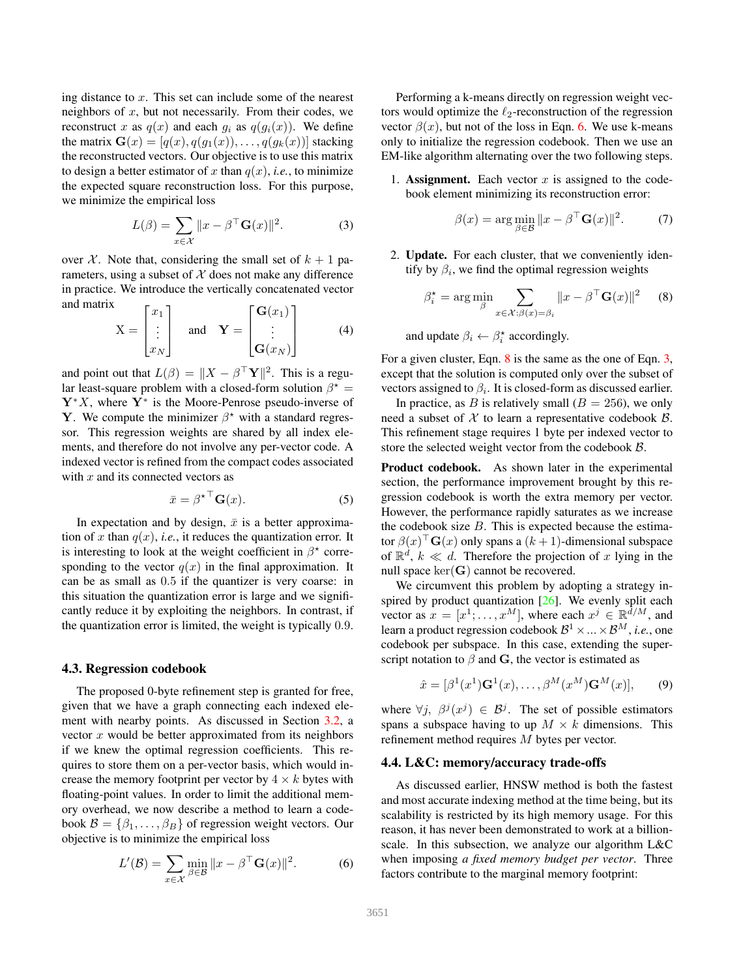ing distance to  $x$ . This set can include some of the nearest neighbors of  $x$ , but not necessarily. From their codes, we reconstruct x as  $q(x)$  and each  $g_i$  as  $q(g_i(x))$ . We define the matrix  $\mathbf{G}(x) = [q(x), q(g_1(x)), \dots, q(g_k(x))]$  stacking the reconstructed vectors. Our objective is to use this matrix to design a better estimator of x than  $q(x)$ , *i.e.*, to minimize the expected square reconstruction loss. For this purpose, we minimize the empirical loss

<span id="page-5-3"></span>
$$
L(\beta) = \sum_{x \in \mathcal{X}} \|x - \beta^{\top} \mathbf{G}(x)\|^2.
$$
 (3)

over X. Note that, considering the small set of  $k + 1$  parameters, using a subset of  $X$  does not make any difference in practice. We introduce the vertically concatenated vector and matrix

$$
\mathbf{X} = \begin{bmatrix} x_1 \\ \vdots \\ x_N \end{bmatrix} \quad \text{and} \quad \mathbf{Y} = \begin{bmatrix} \mathbf{G}(x_1) \\ \vdots \\ \mathbf{G}(x_N) \end{bmatrix} \tag{4}
$$

and point out that  $L(\beta) = ||X - \beta^\top \mathbf{Y}||^2$ . This is a regular least-square problem with a closed-form solution  $\beta^* =$  $\mathbf{Y}^*X$ , where  $\mathbf{Y}^*$  is the Moore-Penrose pseudo-inverse of **Y**. We compute the minimizer  $\beta^*$  with a standard regressor. This regression weights are shared by all index elements, and therefore do not involve any per-vector code. A indexed vector is refined from the compact codes associated with  $x$  and its connected vectors as

$$
\bar{x} = \beta^{\star \top} \mathbf{G}(x). \tag{5}
$$

In expectation and by design,  $\bar{x}$  is a better approximation of x than  $q(x)$ , *i.e.*, it reduces the quantization error. It is interesting to look at the weight coefficient in  $\beta^*$  corresponding to the vector  $q(x)$  in the final approximation. It can be as small as 0.5 if the quantizer is very coarse: in this situation the quantization error is large and we significantly reduce it by exploiting the neighbors. In contrast, if the quantization error is limited, the weight is typically 0.9.

#### <span id="page-5-0"></span>4.3. Regression codebook

The proposed 0-byte refinement step is granted for free, given that we have a graph connecting each indexed element with nearby points. As discussed in Section [3.2,](#page-3-4) a vector  $x$  would be better approximated from its neighbors if we knew the optimal regression coefficients. This requires to store them on a per-vector basis, which would increase the memory footprint per vector by  $4 \times k$  bytes with floating-point values. In order to limit the additional memory overhead, we now describe a method to learn a codebook  $\mathcal{B} = \{\beta_1, \dots, \beta_B\}$  of regression weight vectors. Our objective is to minimize the empirical loss

<span id="page-5-1"></span>
$$
L'(\mathcal{B}) = \sum_{x \in \mathcal{X}} \min_{\beta \in \mathcal{B}} \|x - \beta^{\top} \mathbf{G}(x)\|^2.
$$
 (6)

Performing a k-means directly on regression weight vectors would optimize the  $\ell_2$ -reconstruction of the regression vector  $\beta(x)$ , but not of the loss in Eqn. [6.](#page-5-1) We use k-means only to initialize the regression codebook. Then we use an EM-like algorithm alternating over the two following steps.

1. Assignment. Each vector x is assigned to the codebook element minimizing its reconstruction error:

$$
\beta(x) = \arg\min_{\beta \in \mathcal{B}} \|x - \beta^{\top} \mathbf{G}(x)\|^2.
$$
 (7)

2. Update. For each cluster, that we conveniently identify by  $\beta_i$ , we find the optimal regression weights

<span id="page-5-2"></span>
$$
\beta_i^* = \arg \min_{\beta} \sum_{x \in \mathcal{X} : \beta(x) = \beta_i} \|x - \beta^{\top} \mathbf{G}(x)\|^2 \quad (8)
$$

and update  $\beta_i \leftarrow \beta_i^*$  accordingly.

For a given cluster, Eqn. [8](#page-5-2) is the same as the one of Eqn. [3,](#page-5-3) except that the solution is computed only over the subset of vectors assigned to  $\beta_i$ . It is closed-form as discussed earlier.

In practice, as B is relatively small ( $B = 256$ ), we only need a subset of  $X$  to learn a representative codebook  $B$ . This refinement stage requires 1 byte per indexed vector to store the selected weight vector from the codebook B.

Product codebook. As shown later in the experimental section, the performance improvement brought by this regression codebook is worth the extra memory per vector. However, the performance rapidly saturates as we increase the codebook size  $B$ . This is expected because the estimator  $\beta(x)^\top \mathbf{G}(x)$  only spans a  $(k+1)$ -dimensional subspace of  $\mathbb{R}^d$ ,  $k \ll d$ . Therefore the projection of x lying in the null space  $\ker(G)$  cannot be recovered.

We circumvent this problem by adopting a strategy inspired by product quantization [\[26\]](#page-8-7). We evenly split each vector as  $x = [x^1; \dots, x^M]$ , where each  $x^j \in \mathbb{R}^{\bar{d}/M}$ , and learn a product regression codebook  $\mathcal{B}^1 \times ... \times \mathcal{B}^M$  , *i.e*., one codebook per subspace. In this case, extending the superscript notation to  $\beta$  and G, the vector is estimated as

$$
\hat{x} = [\beta^1(x^1)\mathbf{G}^1(x), \dots, \beta^M(x^M)\mathbf{G}^M(x)], \qquad (9)
$$

where  $\forall j$ ,  $\beta^j(x^j) \in \mathcal{B}^j$ . The set of possible estimators spans a subspace having to up  $M \times k$  dimensions. This refinement method requires M bytes per vector.

#### 4.4. L&C: memory/accuracy trade-offs

As discussed earlier, HNSW method is both the fastest and most accurate indexing method at the time being, but its scalability is restricted by its high memory usage. For this reason, it has never been demonstrated to work at a billionscale. In this subsection, we analyze our algorithm L&C when imposing *a fixed memory budget per vector*. Three factors contribute to the marginal memory footprint: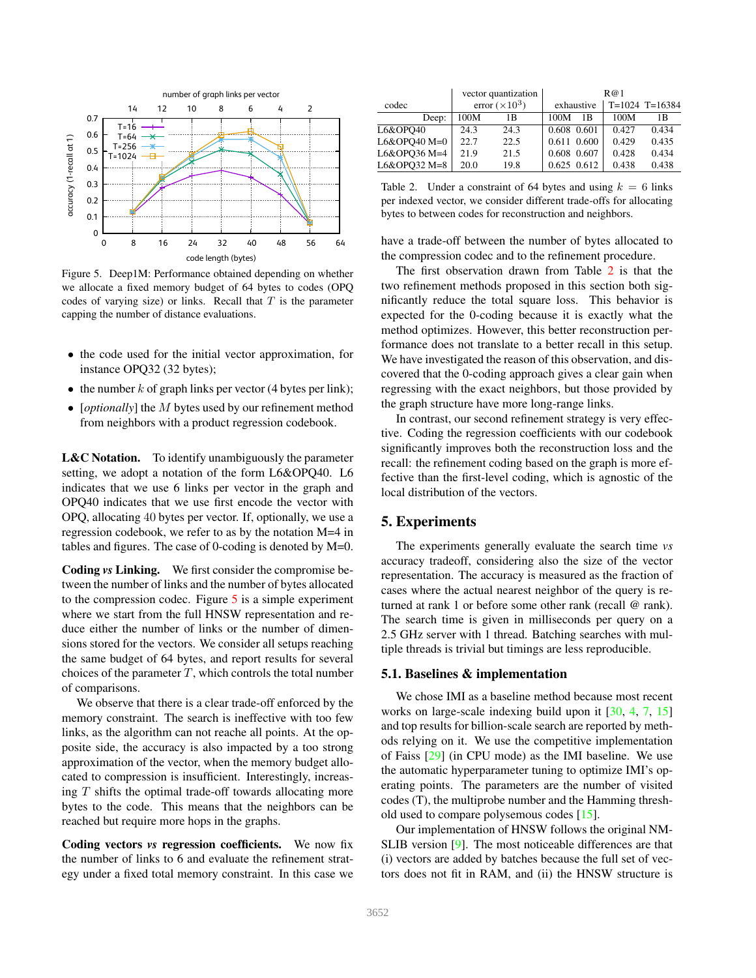

<span id="page-6-1"></span>Figure 5. Deep1M: Performance obtained depending on whether we allocate a fixed memory budget of 64 bytes to codes (OPQ codes of varying size) or links. Recall that  $T$  is the parameter capping the number of distance evaluations.

- the code used for the initial vector approximation, for instance OPQ32 (32 bytes);
- the number  $k$  of graph links per vector (4 bytes per link);
- [*optionally*] the M bytes used by our refinement method from neighbors with a product regression codebook.

**L&C Notation.** To identify unambiguously the parameter setting, we adopt a notation of the form L6&OPQ40. L6 indicates that we use 6 links per vector in the graph and OPQ40 indicates that we use first encode the vector with OPQ, allocating 40 bytes per vector. If, optionally, we use a regression codebook, we refer to as by the notation M=4 in tables and figures. The case of 0-coding is denoted by M=0.

Coding *vs* Linking. We first consider the compromise between the number of links and the number of bytes allocated to the compression codec. Figure [5](#page-6-1) is a simple experiment where we start from the full HNSW representation and reduce either the number of links or the number of dimensions stored for the vectors. We consider all setups reaching the same budget of 64 bytes, and report results for several choices of the parameter  $T$ , which controls the total number of comparisons.

We observe that there is a clear trade-off enforced by the memory constraint. The search is ineffective with too few links, as the algorithm can not reache all points. At the opposite side, the accuracy is also impacted by a too strong approximation of the vector, when the memory budget allocated to compression is insufficient. Interestingly, increasing  $T$  shifts the optimal trade-off towards allocating more bytes to the code. This means that the neighbors can be reached but require more hops in the graphs.

Coding vectors *vs* regression coefficients. We now fix the number of links to 6 and evaluate the refinement strategy under a fixed total memory constraint. In this case we

|              | vector quantization   |      | R@1         |     |                  |       |
|--------------|-----------------------|------|-------------|-----|------------------|-------|
| codec        | error $(\times 10^3)$ |      | exhaustive  |     | $T=1024$ T=16384 |       |
| Deep:        | 100M                  | 1B   | 100M        | 1 B | 100M             | 1B    |
| L6&OPO40     | 24.3                  | 24.3 | 0.608 0.601 |     | 0.427            | 0.434 |
| L6&OPO40 M=0 | 22.7                  | 22.5 | 0.611 0.600 |     | 0.429            | 0.435 |
| L6&OPO36 M=4 | 21.9                  | 21.5 | 0.608 0.607 |     | 0.428            | 0.434 |
| L6&OPO32 M=8 | 20.0                  | 19.8 | 0.625 0.612 |     | 0.438            | 0.438 |

<span id="page-6-2"></span>Table 2. Under a constraint of 64 bytes and using  $k = 6$  links per indexed vector, we consider different trade-offs for allocating bytes to between codes for reconstruction and neighbors.

have a trade-off between the number of bytes allocated to the compression codec and to the refinement procedure.

The first observation drawn from Table [2](#page-6-2) is that the two refinement methods proposed in this section both significantly reduce the total square loss. This behavior is expected for the 0-coding because it is exactly what the method optimizes. However, this better reconstruction performance does not translate to a better recall in this setup. We have investigated the reason of this observation, and discovered that the 0-coding approach gives a clear gain when regressing with the exact neighbors, but those provided by the graph structure have more long-range links.

In contrast, our second refinement strategy is very effective. Coding the regression coefficients with our codebook significantly improves both the reconstruction loss and the recall: the refinement coding based on the graph is more effective than the first-level coding, which is agnostic of the local distribution of the vectors.

### <span id="page-6-0"></span>5. Experiments

The experiments generally evaluate the search time *vs* accuracy tradeoff, considering also the size of the vector representation. The accuracy is measured as the fraction of cases where the actual nearest neighbor of the query is returned at rank 1 or before some other rank (recall @ rank). The search time is given in milliseconds per query on a 2.5 GHz server with 1 thread. Batching searches with multiple threads is trivial but timings are less reproducible.

#### 5.1. Baselines & implementation

We chose IMI as a baseline method because most recent works on large-scale indexing build upon it [\[30,](#page-8-41) [4,](#page-8-42) [7,](#page-8-21) [15\]](#page-8-22) and top results for billion-scale search are reported by methods relying on it. We use the competitive implementation of Faiss [\[29\]](#page-8-43) (in CPU mode) as the IMI baseline. We use the automatic hyperparameter tuning to optimize IMI's operating points. The parameters are the number of visited codes (T), the multiprobe number and the Hamming threshold used to compare polysemous codes [\[15\]](#page-8-22).

Our implementation of HNSW follows the original NM-SLIB version [\[9\]](#page-8-24). The most noticeable differences are that (i) vectors are added by batches because the full set of vectors does not fit in RAM, and (ii) the HNSW structure is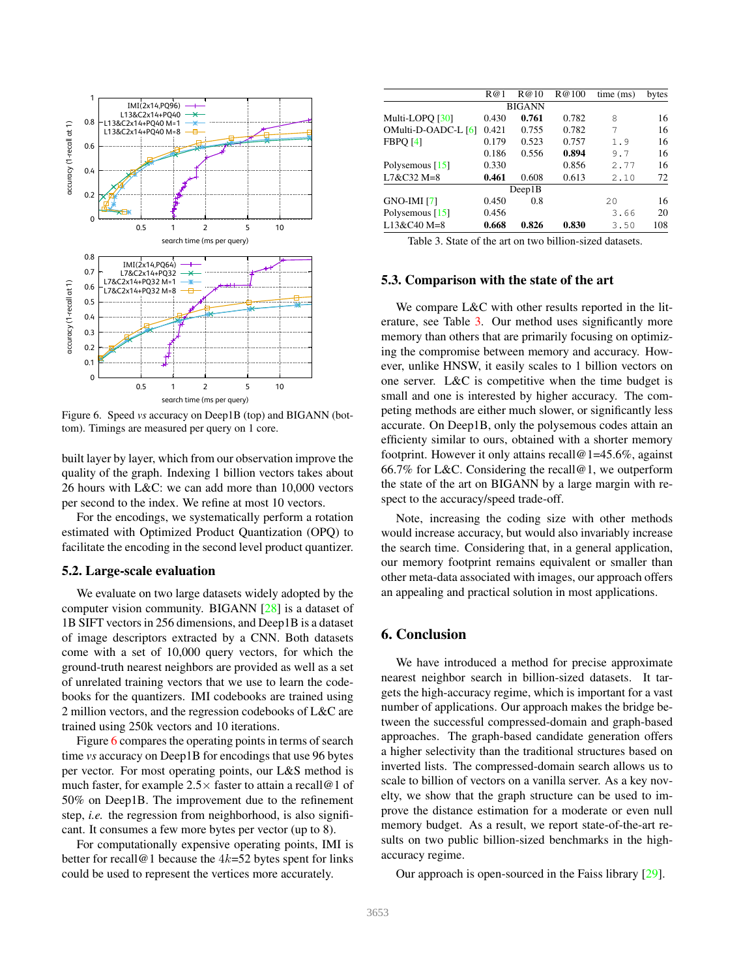

<span id="page-7-0"></span>Figure 6. Speed *vs* accuracy on Deep1B (top) and BIGANN (bottom). Timings are measured per query on 1 core.

built layer by layer, which from our observation improve the quality of the graph. Indexing 1 billion vectors takes about 26 hours with L&C: we can add more than 10,000 vectors per second to the index. We refine at most 10 vectors.

For the encodings, we systematically perform a rotation estimated with Optimized Product Quantization (OPQ) to facilitate the encoding in the second level product quantizer.

#### 5.2. Large-scale evaluation

We evaluate on two large datasets widely adopted by the computer vision community. BIGANN [\[28\]](#page-8-37) is a dataset of 1B SIFT vectors in 256 dimensions, and Deep1B is a dataset of image descriptors extracted by a CNN. Both datasets come with a set of 10,000 query vectors, for which the ground-truth nearest neighbors are provided as well as a set of unrelated training vectors that we use to learn the codebooks for the quantizers. IMI codebooks are trained using 2 million vectors, and the regression codebooks of L&C are trained using 250k vectors and 10 iterations.

Figure [6](#page-7-0) compares the operating points in terms of search time *vs* accuracy on Deep1B for encodings that use 96 bytes per vector. For most operating points, our L&S method is much faster, for example  $2.5 \times$  faster to attain a recall@1 of 50% on Deep1B. The improvement due to the refinement step, *i.e.* the regression from neighborhood, is also significant. It consumes a few more bytes per vector (up to 8).

For computationally expensive operating points, IMI is better for recall@1 because the  $4k=52$  bytes spent for links could be used to represent the vertices more accurately.

|                     | R@1   | R@10  | R@100 | time (ms) | bytes |  |  |  |  |
|---------------------|-------|-------|-------|-----------|-------|--|--|--|--|
| <b>BIGANN</b>       |       |       |       |           |       |  |  |  |  |
| Multi-LOPO [30]     | 0.430 | 0.761 | 0.782 | 8         | 16    |  |  |  |  |
| OMulti-D-OADC-L [6] | 0.421 | 0.755 | 0.782 | 7         | 16    |  |  |  |  |
| <b>FBPO [4]</b>     | 0.179 | 0.523 | 0.757 | 1.9       | 16    |  |  |  |  |
|                     | 0.186 | 0.556 | 0.894 | 9.7       | 16    |  |  |  |  |
| Polysemous $[15]$   | 0.330 |       | 0.856 | 2.77      | 16    |  |  |  |  |
| L7&C32 M=8          | 0.461 | 0.608 | 0.613 | 2.10      | 72    |  |  |  |  |
| Deep1B              |       |       |       |           |       |  |  |  |  |
| <b>GNO-IMI</b> [7]  | 0.450 | 0.8   |       | 2.0       | 16    |  |  |  |  |
| Polysemous $[15]$   | 0.456 |       |       | 3.66      | 20    |  |  |  |  |
| L13&C40 M=8         | 0.668 | 0.826 | 0.830 | 3.50      | 108   |  |  |  |  |

<span id="page-7-1"></span>Table 3. State of the art on two billion-sized datasets.

#### 5.3. Comparison with the state of the art

We compare L&C with other results reported in the literature, see Table [3.](#page-7-1) Our method uses significantly more memory than others that are primarily focusing on optimizing the compromise between memory and accuracy. However, unlike HNSW, it easily scales to 1 billion vectors on one server. L&C is competitive when the time budget is small and one is interested by higher accuracy. The competing methods are either much slower, or significantly less accurate. On Deep1B, only the polysemous codes attain an efficienty similar to ours, obtained with a shorter memory footprint. However it only attains recall  $@1=45.6\%$ , against 66.7% for L&C. Considering the recall@1, we outperform the state of the art on BIGANN by a large margin with respect to the accuracy/speed trade-off.

Note, increasing the coding size with other methods would increase accuracy, but would also invariably increase the search time. Considering that, in a general application, our memory footprint remains equivalent or smaller than other meta-data associated with images, our approach offers an appealing and practical solution in most applications.

# 6. Conclusion

We have introduced a method for precise approximate nearest neighbor search in billion-sized datasets. It targets the high-accuracy regime, which is important for a vast number of applications. Our approach makes the bridge between the successful compressed-domain and graph-based approaches. The graph-based candidate generation offers a higher selectivity than the traditional structures based on inverted lists. The compressed-domain search allows us to scale to billion of vectors on a vanilla server. As a key novelty, we show that the graph structure can be used to improve the distance estimation for a moderate or even null memory budget. As a result, we report state-of-the-art results on two public billion-sized benchmarks in the highaccuracy regime.

Our approach is open-sourced in the Faiss library [\[29\]](#page-8-43).